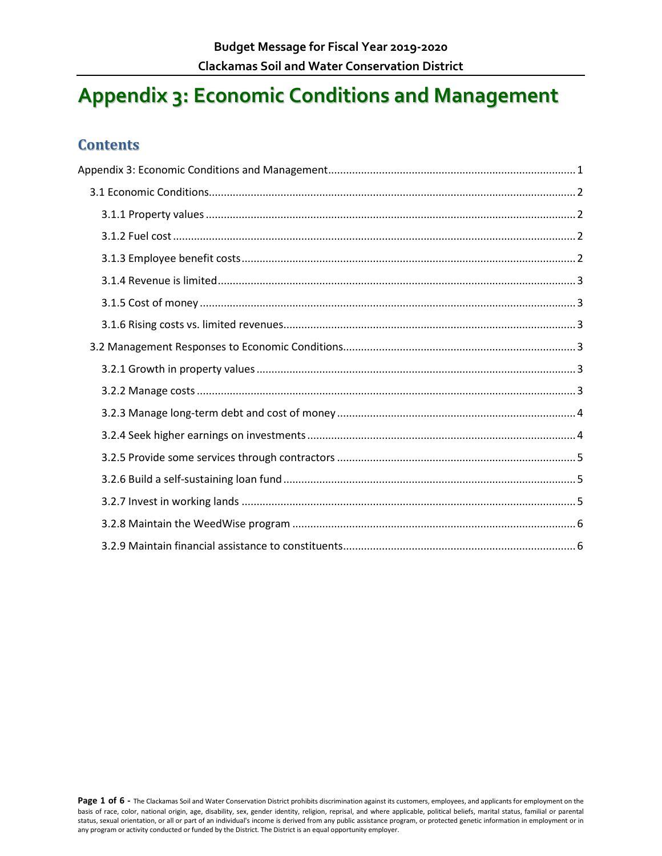# <span id="page-0-0"></span>**Appendix 3: Economic Conditions and Management**

### **Contents**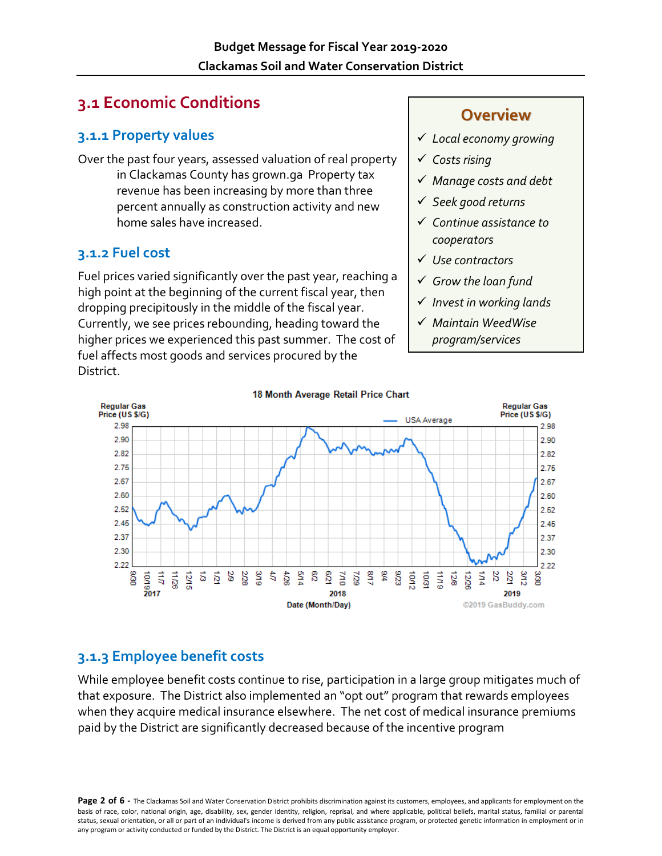# <span id="page-1-0"></span>**3.1 Economic Conditions**

### <span id="page-1-1"></span>**3.1.1 Property values**

Over the past four years, assessed valuation of real property in Clackamas County has grown.ga Property tax revenue has been increasing by more than three percent annually as construction activity and new home sales have increased.

### <span id="page-1-2"></span>**3.1.2 Fuel cost**

Fuel prices varied significantly over the past year, reaching a high point at the beginning of the current fiscal year, then dropping precipitously in the middle of the fiscal year. Currently, we see prices rebounding, heading toward the higher prices we experienced this past summer. The cost of fuel affects most goods and services procured by the District.

# **Overview**

- *Local economy growing*
- *Costs rising*
- *Manage costs and debt*
- *Seek good returns*
- *Continue assistance to cooperators*
- *Use contractors*
- *Grow the loan fund*
- *Invest in working lands*
- *Maintain WeedWise program/services*



#### <span id="page-1-3"></span>**3.1.3 Employee benefit costs**

While employee benefit costs continue to rise, participation in a large group mitigates much of that exposure. The District also implemented an "opt out" program that rewards employees when they acquire medical insurance elsewhere. The net cost of medical insurance premiums paid by the District are significantly decreased because of the incentive program

Page 2 of 6 - The Clackamas Soil and Water Conservation District prohibits discrimination against its customers, employees, and applicants for employment on the basis of race, color, national origin, age, disability, sex, gender identity, religion, reprisal, and where applicable, political beliefs, marital status, familial or parental status, sexual orientation, or all or part of an individual's income is derived from any public assistance program, or protected genetic information in employment or in any program or activity conducted or funded by the District. The District is an equal opportunity employer.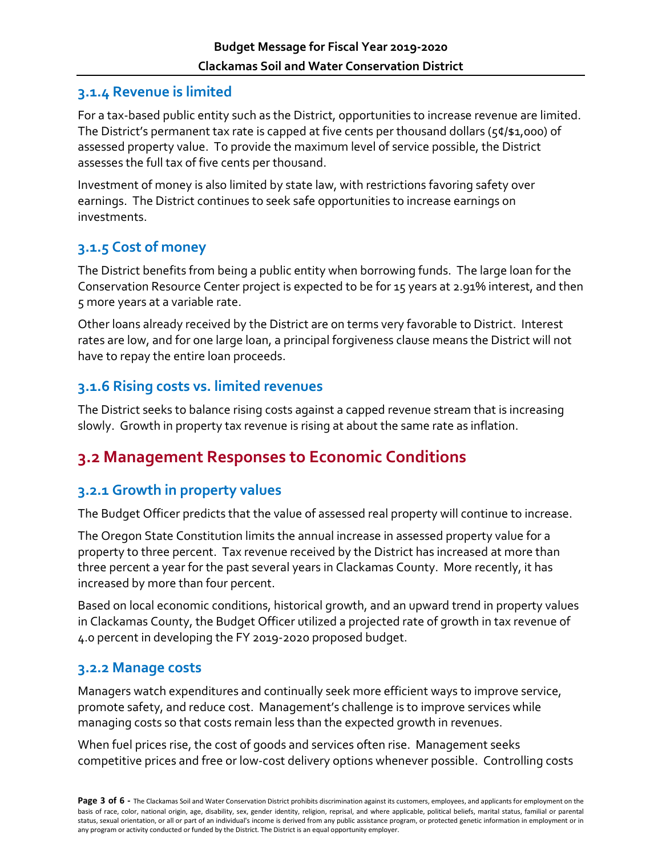### <span id="page-2-0"></span>**3.1.4 Revenue is limited**

For a tax-based public entity such as the District, opportunities to increase revenue are limited. The District's permanent tax rate is capped at five cents per thousand dollars (5¢/\$1,000) of assessed property value. To provide the maximum level of service possible, the District assesses the full tax of five cents per thousand.

Investment of money is also limited by state law, with restrictions favoring safety over earnings. The District continues to seek safe opportunities to increase earnings on investments.

### <span id="page-2-1"></span>**3.1.5 Cost of money**

The District benefits from being a public entity when borrowing funds. The large loan for the Conservation Resource Center project is expected to be for 15 years at 2.91% interest, and then 5 more years at a variable rate.

Other loans already received by the District are on terms very favorable to District. Interest rates are low, and for one large loan, a principal forgiveness clause means the District will not have to repay the entire loan proceeds.

### <span id="page-2-2"></span>**3.1.6 Rising costs vs. limited revenues**

The District seeks to balance rising costs against a capped revenue stream that is increasing slowly. Growth in property tax revenue is rising at about the same rate as inflation.

# <span id="page-2-3"></span>**3.2 Management Responses to Economic Conditions**

### <span id="page-2-4"></span>**3.2.1 Growth in property values**

The Budget Officer predicts that the value of assessed real property will continue to increase.

The Oregon State Constitution limits the annual increase in assessed property value for a property to three percent. Tax revenue received by the District has increased at more than three percent a year for the past several years in Clackamas County. More recently, it has increased by more than four percent.

Based on local economic conditions, historical growth, and an upward trend in property values in Clackamas County, the Budget Officer utilized a projected rate of growth in tax revenue of 4.0 percent in developing the FY 2019-2020 proposed budget.

#### <span id="page-2-5"></span>**3.2.2 Manage costs**

Managers watch expenditures and continually seek more efficient ways to improve service, promote safety, and reduce cost. Management's challenge is to improve services while managing costs so that costs remain less than the expected growth in revenues.

When fuel prices rise, the cost of goods and services often rise. Management seeks competitive prices and free or low-cost delivery options whenever possible. Controlling costs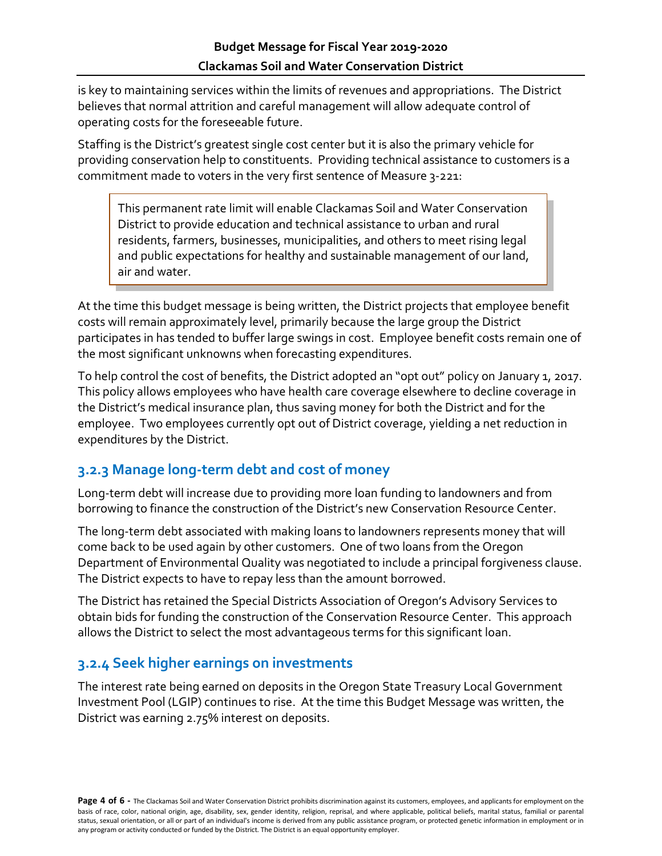is key to maintaining services within the limits of revenues and appropriations. The District believes that normal attrition and careful management will allow adequate control of operating costs for the foreseeable future.

Staffing is the District's greatest single cost center but it is also the primary vehicle for providing conservation help to constituents. Providing technical assistance to customers is a commitment made to voters in the very first sentence of Measure 3-221:

This permanent rate limit will enable Clackamas Soil and Water Conservation District to provide education and technical assistance to urban and rural residents, farmers, businesses, municipalities, and others to meet rising legal and public expectations for healthy and sustainable management of our land, air and water.

At the time this budget message is being written, the District projects that employee benefit costs will remain approximately level, primarily because the large group the District participates in has tended to buffer large swings in cost. Employee benefit costs remain one of the most significant unknowns when forecasting expenditures.

To help control the cost of benefits, the District adopted an "opt out" policy on January 1, 2017. This policy allows employees who have health care coverage elsewhere to decline coverage in the District's medical insurance plan, thus saving money for both the District and for the employee. Two employees currently opt out of District coverage, yielding a net reduction in expenditures by the District.

# <span id="page-3-0"></span>**3.2.3 Manage long-term debt and cost of money**

Long-term debt will increase due to providing more loan funding to landowners and from borrowing to finance the construction of the District's new Conservation Resource Center.

The long-term debt associated with making loans to landowners represents money that will come back to be used again by other customers. One of two loans from the Oregon Department of Environmental Quality was negotiated to include a principal forgiveness clause. The District expects to have to repay less than the amount borrowed.

The District has retained the Special Districts Association of Oregon's Advisory Services to obtain bids for funding the construction of the Conservation Resource Center. This approach allows the District to select the most advantageous terms for this significant loan.

# <span id="page-3-1"></span>**3.2.4 Seek higher earnings on investments**

The interest rate being earned on deposits in the Oregon State Treasury Local Government Investment Pool (LGIP) continues to rise. At the time this Budget Message was written, the District was earning 2.75% interest on deposits.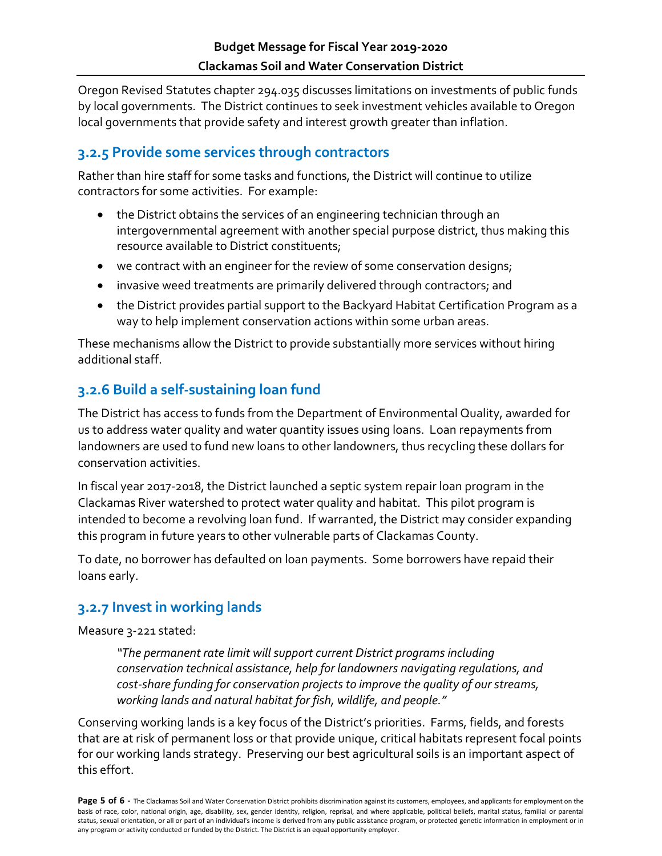Oregon Revised Statutes chapter 294.035 discusses limitations on investments of public funds by local governments. The District continues to seek investment vehicles available to Oregon local governments that provide safety and interest growth greater than inflation.

# <span id="page-4-0"></span>**3.2.5 Provide some services through contractors**

Rather than hire staff for some tasks and functions, the District will continue to utilize contractors for some activities. For example:

- the District obtains the services of an engineering technician through an intergovernmental agreement with another special purpose district, thus making this resource available to District constituents;
- we contract with an engineer for the review of some conservation designs;
- invasive weed treatments are primarily delivered through contractors; and
- the District provides partial support to the Backyard Habitat Certification Program as a way to help implement conservation actions within some urban areas.

These mechanisms allow the District to provide substantially more services without hiring additional staff.

# <span id="page-4-1"></span>**3.2.6 Build a self-sustaining loan fund**

The District has access to funds from the Department of Environmental Quality, awarded for us to address water quality and water quantity issues using loans. Loan repayments from landowners are used to fund new loans to other landowners, thus recycling these dollars for conservation activities.

In fiscal year 2017-2018, the District launched a septic system repair loan program in the Clackamas River watershed to protect water quality and habitat. This pilot program is intended to become a revolving loan fund. If warranted, the District may consider expanding this program in future years to other vulnerable parts of Clackamas County.

To date, no borrower has defaulted on loan payments. Some borrowers have repaid their loans early.

### <span id="page-4-2"></span>**3.2.7 Invest in working lands**

Measure 3-221 stated:

*"The permanent rate limit will support current District programs including conservation technical assistance, help for landowners navigating regulations, and cost-share funding for conservation projects to improve the quality of our streams, working lands and natural habitat for fish, wildlife, and people."* 

Conserving working lands is a key focus of the District's priorities. Farms, fields, and forests that are at risk of permanent loss or that provide unique, critical habitats represent focal points for our working lands strategy. Preserving our best agricultural soils is an important aspect of this effort.